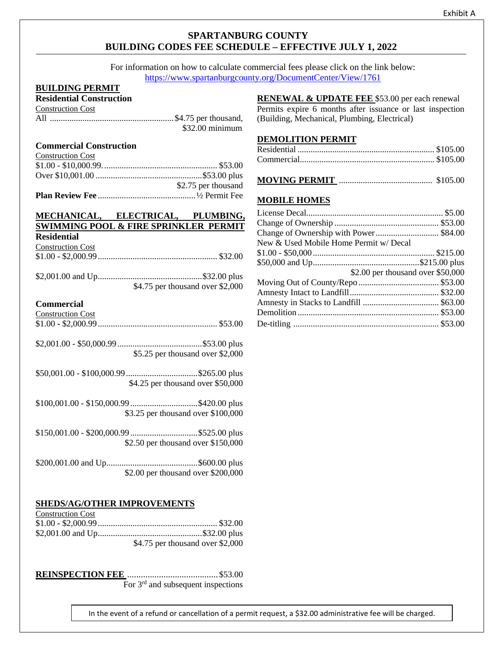## **SPARTANBURG COUNTY BUILDING CODES FEE SCHEDULE – EFFECTIVE JULY 1, 2022**

For information on how to calculate commercial fees please click on the link below: <https://www.spartanburgcounty.org/DocumentCenter/View/1761>

### **BUILDING PERMIT**

### **Residential Construction**

| <b>Construction Cost</b> |                  |
|--------------------------|------------------|
|                          |                  |
|                          | $$32.00$ minimum |

### **Commercial Construction**

| <b>Construction Cost</b> |                     |
|--------------------------|---------------------|
|                          |                     |
|                          |                     |
|                          | \$2.75 per thousand |
|                          |                     |

#### **MECHANICAL, ELECTRICAL, PLUMBING, SWIMMING POOL & FIRE SPRINKLER PERMIT Residential**

| <u>Avenue chemi</u>      |  |
|--------------------------|--|
| <b>Construction Cost</b> |  |
|                          |  |

| $$4.75$ per thousand over \$2,000 |
|-----------------------------------|

### **Commercial**

| Commercial                         |
|------------------------------------|
| <b>Construction Cost</b>           |
|                                    |
|                                    |
|                                    |
| $$5.25$ per thousand over \$2,000  |
|                                    |
|                                    |
| \$4.25 per thousand over \$50,000  |
|                                    |
|                                    |
| \$3.25 per thousand over \$100,000 |
|                                    |
| \$2.50 per thousand over \$150,000 |
|                                    |
|                                    |
| \$2.00 per thousand over \$200,000 |

#### **SHEDS/AG/OTHER IMPROVEMENTS**  $\epsilon$  construction  $\epsilon$

| Construction Cost |                                   |
|-------------------|-----------------------------------|
|                   |                                   |
|                   |                                   |
|                   | $$4.75$ per thousand over \$2,000 |

**REINSPECTION FEE** ........................................\$53.00 For 3rd and subsequent inspections

**RENEWAL & UPDATE FEE** \$53.00 per each renewal

Permits expire 6 months after issuance or last inspection (Building, Mechanical, Plumbing, Electrical)

### **DEMOLITION PERMIT**

|--|--|--|--|

### **MOBILE HOMES**

| New & Used Mobile Home Permit w/ Decal |  |
|----------------------------------------|--|
|                                        |  |
|                                        |  |
| \$2.00 per thousand over \$50,000      |  |
|                                        |  |
|                                        |  |
|                                        |  |
|                                        |  |
|                                        |  |

In the event of a refund or cancellation of a permit request, a \$32.00 administrative fee will be charged.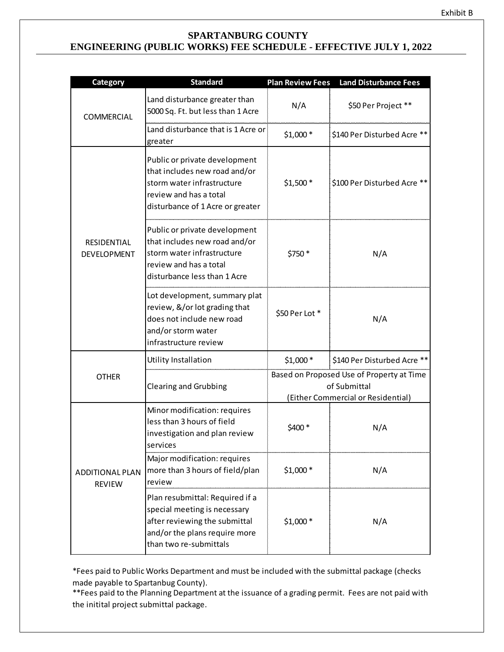## **SPARTANBURG COUNTY ENGINEERING (PUBLIC WORKS) FEE SCHEDULE - EFFECTIVE JULY 1, 2022**

| <b>Category</b>                         | <b>Standard</b>                                                                                                                                             | <b>Plan Review Fees</b>                                                                         | <b>Land Disturbance Fees</b> |
|-----------------------------------------|-------------------------------------------------------------------------------------------------------------------------------------------------------------|-------------------------------------------------------------------------------------------------|------------------------------|
| COMMERCIAL                              | Land disturbance greater than<br>5000 Sq. Ft. but less than 1 Acre                                                                                          | N/A                                                                                             | \$50 Per Project **          |
|                                         | Land disturbance that is 1 Acre or<br>greater                                                                                                               | $$1,000*$                                                                                       | \$140 Per Disturbed Acre **  |
|                                         | Public or private development<br>that includes new road and/or<br>storm water infrastructure<br>review and has a total<br>disturbance of 1 Acre or greater  | $$1,500*$                                                                                       | \$100 Per Disturbed Acre **  |
| RESIDENTIAL<br><b>DEVELOPMENT</b>       | Public or private development<br>that includes new road and/or<br>storm water infrastructure<br>review and has a total<br>disturbance less than 1 Acre      | \$750 *                                                                                         | N/A                          |
|                                         | Lot development, summary plat<br>review, &/or lot grading that<br>does not include new road<br>and/or storm water<br>infrastructure review                  | \$50 Per Lot*                                                                                   | N/A                          |
|                                         | Utility Installation                                                                                                                                        | $$1,000*$                                                                                       | \$140 Per Disturbed Acre **  |
| <b>OTHER</b>                            | <b>Clearing and Grubbing</b>                                                                                                                                | Based on Proposed Use of Property at Time<br>of Submittal<br>(Either Commercial or Residential) |                              |
| <b>ADDITIONAL PLAN</b><br><b>REVIEW</b> | Minor modification: requires<br>less than 3 hours of field<br>investigation and plan review<br>services                                                     | \$400 *                                                                                         | N/A                          |
|                                         | Major modification: requires<br>more than 3 hours of field/plan<br>review                                                                                   | $$1,000*$                                                                                       | N/A                          |
|                                         | Plan resubmittal: Required if a<br>special meeting is necessary<br>after reviewing the submittal<br>and/or the plans require more<br>than two re-submittals | $$1,000*$                                                                                       | N/A                          |

\*Fees paid to Public Works Department and must be included with the submittal package (checks made payable to Spartanbug County).

\*\*Fees paid to the Planning Department at the issuance of a grading permit. Fees are not paid with the initital project submittal package.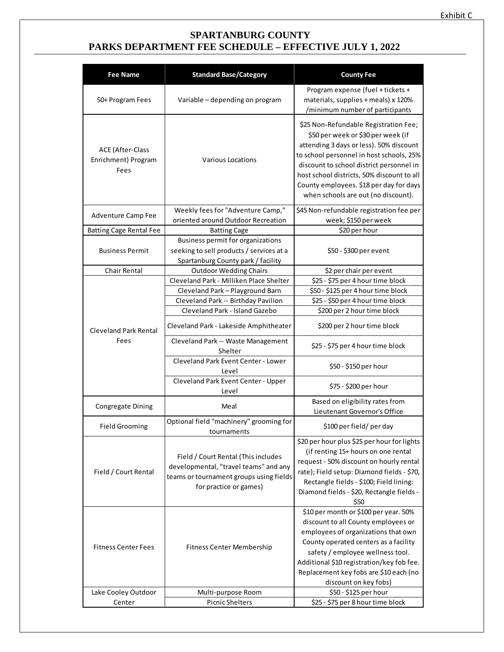## **SPARTANBURG COUNTY PARKS DEPARTMENT FEE SCHEDULE – EFFECTIVE JULY 1, 2022**

| <b>Fee Name</b>                                        | <b>Standard Base/Category</b>                                                                                                                     | <b>County Fee</b>                                                                                                                                                                                                                                                                                                                              |
|--------------------------------------------------------|---------------------------------------------------------------------------------------------------------------------------------------------------|------------------------------------------------------------------------------------------------------------------------------------------------------------------------------------------------------------------------------------------------------------------------------------------------------------------------------------------------|
| 50+ Program Fees                                       | Variable - depending on program                                                                                                                   | Program expense (fuel + tickets +<br>materials, supplies + meals) x 120%<br>/minimum number of participants                                                                                                                                                                                                                                    |
| <b>ACE (After-Class</b><br>Enrichment) Program<br>Fees | <b>Various Locations</b>                                                                                                                          | \$25 Non-Refundable Registration Fee;<br>\$50 per week or \$30 per week (if<br>attending 3 days or less). 50% discount<br>to school personnel in host schools, 25%<br>discount to school district personnel in<br>host school districts, 50% discount to all<br>County employees. \$18 per day for days<br>when schools are out (no discount). |
| Adventure Camp Fee                                     | Weekly fees for "Adventure Camp,"                                                                                                                 | \$45 Non-refundable registration fee per                                                                                                                                                                                                                                                                                                       |
|                                                        | oriented around Outdoor Recreation                                                                                                                | week; \$150 per week                                                                                                                                                                                                                                                                                                                           |
| <b>Batting Cage Rental Fee</b>                         | <b>Batting Cage</b>                                                                                                                               | \$20 per hour                                                                                                                                                                                                                                                                                                                                  |
| <b>Business Permit</b>                                 | Business permit for organizations<br>seeking to sell products / services at a<br>Spartanburg County park / facility                               | \$50 - \$300 per event                                                                                                                                                                                                                                                                                                                         |
| Chair Rental                                           | <b>Outdoor Wedding Chairs</b>                                                                                                                     | \$2 per chair per event                                                                                                                                                                                                                                                                                                                        |
|                                                        | Cleveland Park - Milliken Place Shelter                                                                                                           | \$25 - \$75 per 4 hour time block                                                                                                                                                                                                                                                                                                              |
|                                                        | Cleveland Park - Playground Barn                                                                                                                  | \$50 - \$125 per 4 hour time block                                                                                                                                                                                                                                                                                                             |
|                                                        | Cleveland Park -- Birthday Pavilion                                                                                                               | \$25 - \$50 per 4 hour time block                                                                                                                                                                                                                                                                                                              |
|                                                        | Cleveland Park - Island Gazebo                                                                                                                    | \$200 per 2 hour time block                                                                                                                                                                                                                                                                                                                    |
| <b>Cleveland Park Rental</b><br>Fees                   | Cleveland Park - Lakeside Amphitheater                                                                                                            | \$200 per 2 hour time block                                                                                                                                                                                                                                                                                                                    |
|                                                        | Cleveland Park -- Waste Management<br>Shelter                                                                                                     | \$25 - \$75 per 4 hour time block                                                                                                                                                                                                                                                                                                              |
|                                                        | Cleveland Park Event Center - Lower<br>Level                                                                                                      | \$50 - \$150 per hour                                                                                                                                                                                                                                                                                                                          |
|                                                        | Cleveland Park Event Center - Upper<br>Level                                                                                                      | \$75 - \$200 per hour                                                                                                                                                                                                                                                                                                                          |
| <b>Congregate Dining</b>                               | Meal                                                                                                                                              | Based on eligibility rates from<br>Lieutenant Governor's Office                                                                                                                                                                                                                                                                                |
| <b>Field Grooming</b>                                  | Optional field "machinery" grooming for<br>tournaments                                                                                            | \$100 per field/ per day                                                                                                                                                                                                                                                                                                                       |
| Field / Court Rental                                   | Field / Court Rental (This includes<br>developmental, "travel teams" and any<br>teams or tournament groups using fields<br>for practice or games) | \$20 per hour plus \$25 per hour for lights<br>(if renting 15+ hours on one rental<br>request - 50% discount on hourly rental<br>rate); Field setup: Diamond fields - \$70,<br>Rectangle fields - \$100; Field lining:<br>Diamond fields - \$20, Rectangle fields -<br>\$50                                                                    |
| <b>Fitness Center Fees</b>                             | Fitness Center Membership                                                                                                                         | \$10 per month or \$100 per year. 50%<br>discount to all County employees or<br>employees of organizations that own<br>County operated centers as a facility<br>safety / employee wellness tool.<br>Additional \$10 registration/key fob fee.<br>Replacement key fobs are \$10 each (no<br>discount on key fobs)                               |
| Lake Cooley Outdoor                                    | Multi-purpose Room                                                                                                                                | \$50 - \$125 per hour                                                                                                                                                                                                                                                                                                                          |
| Center                                                 | <b>Picnic Shelters</b>                                                                                                                            | \$25 - \$75 per 8 hour time block                                                                                                                                                                                                                                                                                                              |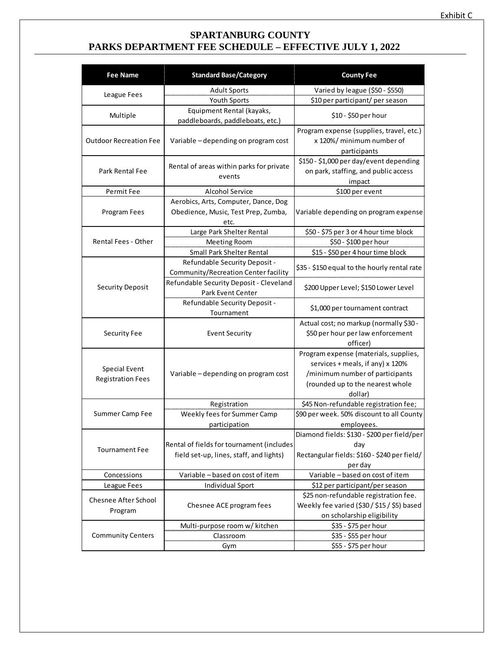## **SPARTANBURG COUNTY PARKS DEPARTMENT FEE SCHEDULE – EFFECTIVE JULY 1, 2022**

| <b>Fee Name</b>               | <b>Standard Base/Category</b>                                 | <b>County Fee</b>                            |
|-------------------------------|---------------------------------------------------------------|----------------------------------------------|
|                               | <b>Adult Sports</b>                                           | Varied by league (\$50 - \$550)              |
| League Fees                   | Youth Sports                                                  | \$10 per participant/ per season             |
| Multiple                      | Equipment Rental (kayaks,<br>paddleboards, paddleboats, etc.) | \$10 - \$50 per hour                         |
|                               |                                                               | Program expense (supplies, travel, etc.)     |
| <b>Outdoor Recreation Fee</b> | Variable - depending on program cost                          | x 120%/ minimum number of                    |
|                               |                                                               | participants                                 |
|                               |                                                               | \$150 - \$1,000 per day/event depending      |
| Park Rental Fee               | Rental of areas within parks for private                      | on park, staffing, and public access         |
|                               | events                                                        | impact                                       |
| Permit Fee                    | Alcohol Service                                               | \$100 per event                              |
|                               | Aerobics, Arts, Computer, Dance, Dog                          |                                              |
| Program Fees                  | Obedience, Music, Test Prep, Zumba,                           | Variable depending on program expense        |
|                               | etc.                                                          |                                              |
|                               | Large Park Shelter Rental                                     | \$50 - \$75 per 3 or 4 hour time block       |
| <b>Rental Fees - Other</b>    | Meeting Room                                                  | \$50 - \$100 per hour                        |
|                               | Small Park Shelter Rental                                     | \$15 - \$50 per 4 hour time block            |
|                               | Refundable Security Deposit -                                 | \$35 - \$150 equal to the hourly rental rate |
|                               | Community/Recreation Center facility                          |                                              |
| <b>Security Deposit</b>       | Refundable Security Deposit - Cleveland                       | \$200 Upper Level; \$150 Lower Level         |
|                               | Park Event Center                                             |                                              |
|                               | Refundable Security Deposit -                                 | \$1,000 per tournament contract              |
|                               | Tournament                                                    |                                              |
|                               |                                                               | Actual cost; no markup (normally \$30 -      |
| Security Fee                  | <b>Event Security</b>                                         | \$50 per hour per law enforcement            |
|                               |                                                               | officer)                                     |
|                               |                                                               | Program expense (materials, supplies,        |
| Special Event                 |                                                               | services + meals, if any) x 120%             |
| <b>Registration Fees</b>      | Variable - depending on program cost                          | /minimum number of participants              |
|                               |                                                               | (rounded up to the nearest whole             |
|                               |                                                               | dollar)                                      |
|                               | Registration                                                  | \$45 Non-refundable registration fee;        |
| Summer Camp Fee               | Weekly fees for Summer Camp                                   | \$90 per week. 50% discount to all County    |
|                               | participation                                                 | employees.                                   |
|                               |                                                               | Diamond fields: \$130 - \$200 per field/per  |
| <b>Tournament Fee</b>         | Rental of fields for tournament (includes                     | day                                          |
|                               | field set-up, lines, staff, and lights)                       | Rectangular fields: \$160 - \$240 per field/ |
| Concessions                   | Variable - based on cost of item                              | per day<br>Variable - based on cost of item  |
| League Fees                   | Individual Sport                                              | \$12 per participant/per season              |
|                               |                                                               | \$25 non-refundable registration fee.        |
| Chesnee After School          | Chesnee ACE program fees                                      | Weekly fee varied (\$30 / \$15 / \$5) based  |
| Program                       |                                                               | on scholarship eligibility                   |
|                               | Multi-purpose room w/ kitchen                                 | \$35 - \$75 per hour                         |
| <b>Community Centers</b>      | Classroom                                                     | \$35 - \$55 per hour                         |
|                               | Gym                                                           | \$55 - \$75 per hour                         |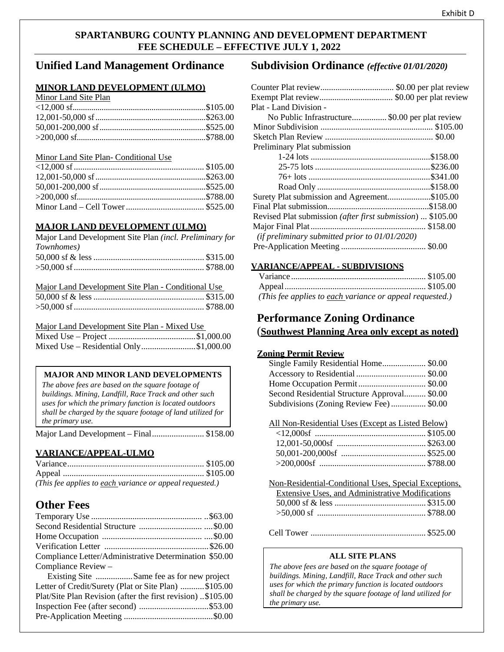## **SPARTANBURG COUNTY PLANNING AND DEVELOPMENT DEPARTMENT FEE SCHEDULE – EFFECTIVE JULY 1, 2022**

## **Unified Land Management Ordinance**

### **MINOR LAND DEVELOPMENT (ULMO)**

### Minor Land Site Plan

#### Minor Land Site Plan- Conditional Use

### **MAJOR LAND DEVELOPMENT (ULMO)**

| Major Land Development Site Plan (incl. Preliminary for |  |
|---------------------------------------------------------|--|
| <i>Townhomes</i> )                                      |  |
|                                                         |  |
|                                                         |  |
|                                                         |  |

| Major Land Development Site Plan - Conditional Use |  |
|----------------------------------------------------|--|
|                                                    |  |
|                                                    |  |

### Major Land Development Site Plan - Mixed Use

| Mixed Use – Residential Only\$1,000.00 |  |
|----------------------------------------|--|

### **MAJOR AND MINOR LAND DEVELOPMENTS**

*The above fees are based on the square footage of buildings. Mining, Landfill, Race Track and other such uses for which the primary function is located outdoors shall be charged by the square footage of land utilized for the primary use.*

Major Land Development – Final........................ \$158.00

### **VARIANCE/APPEAL-ULMO**

| (This fee applies to each variance or appeal requested.) |  |
|----------------------------------------------------------|--|

## **Other Fees**

| Compliance Letter/Administrative Determination \$50.00      |  |
|-------------------------------------------------------------|--|
| Compliance Review -                                         |  |
| Existing Site Same fee as for new project                   |  |
| Letter of Credit/Surety (Plat or Site Plan) \$105.00        |  |
| Plat/Site Plan Revision (after the first revision) \$105.00 |  |

Inspection Fee (after second) ................................\$53.00 Pre-Application Meeting .........................................\$0.00

## **Subdivision Ordinance** *(effective 01/01/2020)*

| Plat - Land Division -                                     |  |
|------------------------------------------------------------|--|
| No Public Infrastructure\$0.00 per plat review             |  |
|                                                            |  |
|                                                            |  |
| Preliminary Plat submission                                |  |
|                                                            |  |
|                                                            |  |
|                                                            |  |
|                                                            |  |
| Surety Plat submission and Agreement\$105.00               |  |
|                                                            |  |
| Revised Plat submission (after first submission)  \$105.00 |  |
|                                                            |  |
| (if preliminary submitted prior to $01/01/2020$ )          |  |
|                                                            |  |
|                                                            |  |

### **VARIANCE/APPEAL - SUBDIVISIONS**

| (This fee applies to each variance or appeal requested.) |  |
|----------------------------------------------------------|--|

## **Performance Zoning Ordinance** (**Southwest Planning Area only except as noted)**

### **Zoning Permit Review**

| Single Family Residential Home\$0.00         |  |
|----------------------------------------------|--|
|                                              |  |
|                                              |  |
| Second Residential Structure Approval \$0.00 |  |
| Subdivisions (Zoning Review Fee) \$0.00      |  |

All Non-Residential Uses (Except as Listed Below)

| Non-Residential-Conditional Uses, Special Exceptions, |  |
|-------------------------------------------------------|--|
| Extensive Uses, and Administrative Modifications      |  |
|                                                       |  |
|                                                       |  |
|                                                       |  |

Cell Tower ..................................................... \$525.00

### **ALL SITE PLANS**

*The above fees are based on the square footage of buildings. Mining, Landfill, Race Track and other such uses for which the primary function is located outdoors shall be charged by the square footage of land utilized for the primary use.*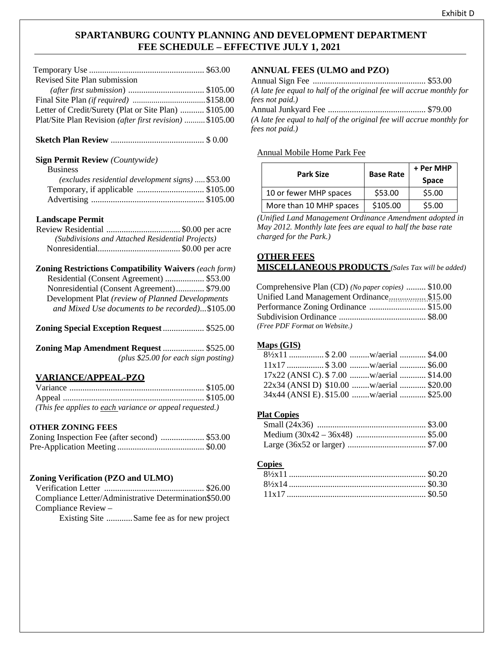## **SPARTANBURG COUNTY PLANNING AND DEVELOPMENT DEPARTMENT FEE SCHEDULE – EFFECTIVE JULY 1, 2021**

| Revised Site Plan submission                             |  |
|----------------------------------------------------------|--|
|                                                          |  |
|                                                          |  |
| Letter of Credit/Surety (Plat or Site Plan)  \$105.00    |  |
| Plat/Site Plan Revision (after first revision)  \$105.00 |  |
|                                                          |  |

## **Sketch Plan Review** ........................................... \$ 0.00

### **Sign Permit Review** *(Countywide)*

| Business |
|----------|
|          |
|          |

| $(excludes residual development signs)  $53.00$ |  |
|-------------------------------------------------|--|
| Temporary, if applicable \$105.00               |  |
|                                                 |  |

### **Landscape Permit**

| (Subdivisions and Attached Residential Projects) |  |
|--------------------------------------------------|--|
|                                                  |  |

| <b>Zoning Restrictions Compatibility Waivers (each form)</b> |  |
|--------------------------------------------------------------|--|
| Residential (Consent Agreement)  \$53.00                     |  |
| Nonresidential (Consent Agreement) \$79.00                   |  |
| Development Plat (review of Planned Developments             |  |
| and Mixed Use documents to be recorded)\$105.00              |  |

**Zoning Special Exception Request**................... \$525.00

| Zoning Map Amendment Request  \$525.00 |  |
|----------------------------------------|--|
| (plus \$25.00 for each sign posting)   |  |

### **VARIANCE/APPEAL-PZO**

| (This fee applies to each variance or appeal requested.) |  |
|----------------------------------------------------------|--|

### **OTHER ZONING FEES**

| Zoning Inspection Fee (after second)  \$53.00 |  |
|-----------------------------------------------|--|
|                                               |  |

### **Zoning Verification (PZO and ULMO)**

| Compliance Letter/Administrative Determination \$50.00 |  |
|--------------------------------------------------------|--|
| Compliance Review $-$                                  |  |

Existing Site ............Same fee as for new project

### **ANNUAL FEES (ULMO and PZO)**

| (A late fee equal to half of the original fee will accrue monthly for |  |
|-----------------------------------------------------------------------|--|
| fees not paid.)                                                       |  |
|                                                                       |  |
| (A late fee equal to half of the original fee will accrue monthly for |  |
| fees not paid.)                                                       |  |

#### Annual Mobile Home Park Fee

| <b>Park Size</b>        | <b>Base Rate</b> | + Per MHP<br><b>Space</b> |
|-------------------------|------------------|---------------------------|
| 10 or fewer MHP spaces  | \$53.00          | \$5.00                    |
| More than 10 MHP spaces | \$105.00         | \$5.00                    |

*(Unified Land Management Ordinance Amendment adopted in May 2012. Monthly late fees are equal to half the base rate charged for the Park.)*

### **OTHER FEES MISCELLANEOUS PRODUCTS** *(Sales Tax will be added)*

| Comprehensive Plan (CD) (No paper copies)  \$10.00 |  |
|----------------------------------------------------|--|
| Unified Land Management Ordinance\$15.00           |  |
| Performance Zoning Ordinance \$15.00               |  |
|                                                    |  |
| (Free PDF Format on Website.)                      |  |

## **Maps (GIS)**

| $8\frac{1}{2}x11$ \$ 2.00  w/aerial  \$4.00 |  |  |
|---------------------------------------------|--|--|
|                                             |  |  |
| 17x22 (ANSI C). \$7.00 w/aerial  \$14.00    |  |  |
| 22x34 (ANSI D) \$10.00 w/aerial  \$20.00    |  |  |
| 34x44 (ANSI E). \$15.00 w/aerial  \$25.00   |  |  |

### **Plat Copies**

#### **Copies**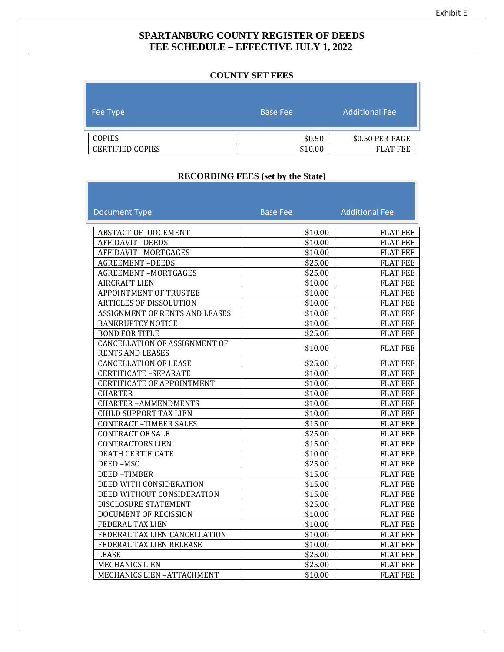## **SPARTANBURG COUNTY REGISTER OF DEEDS FEE SCHEDULE – EFFECTIVE JULY 1, 2022**

#### **COUNTY SET FEES**

| Fee Type                | <b>Base Fee</b> | <b>Additional Fee</b> |
|-------------------------|-----------------|-----------------------|
| <b>COPIES</b>           | \$0.50          | \$0.50 PER PAGE       |
| <b>CERTIFIED COPIES</b> | \$10.00         | <b>FLAT FEE</b>       |

## **RECORDING FEES (set by the State)**

| <b>Document Type</b>                                            | <b>Base Fee</b> | <b>Additional Fee</b> |
|-----------------------------------------------------------------|-----------------|-----------------------|
|                                                                 |                 |                       |
| <b>ABSTACT OF JUDGEMENT</b>                                     | \$10.00         | <b>FLAT FEE</b>       |
| <b>AFFIDAVIT-DEEDS</b>                                          | \$10.00         | <b>FLAT FEE</b>       |
| <b>AFFIDAVIT-MORTGAGES</b>                                      | \$10.00         | <b>FLAT FEE</b>       |
| <b>AGREEMENT-DEEDS</b>                                          | \$25.00         | <b>FLAT FEE</b>       |
| <b>AGREEMENT-MORTGAGES</b>                                      | \$25.00         | <b>FLAT FEE</b>       |
| <b>AIRCRAFT LIEN</b>                                            | \$10.00         | <b>FLAT FEE</b>       |
| <b>APPOINTMENT OF TRUSTEE</b>                                   | \$10.00         | <b>FLAT FEE</b>       |
| <b>ARTICLES OF DISSOLUTION</b>                                  | \$10.00         | <b>FLAT FEE</b>       |
| ASSIGNMENT OF RENTS AND LEASES                                  | \$10.00         | <b>FLAT FEE</b>       |
| <b>BANKRUPTCY NOTICE</b>                                        | \$10.00         | <b>FLAT FEE</b>       |
| <b>BOND FOR TITLE</b>                                           | \$25.00         | <b>FLAT FEE</b>       |
| <b>CANCELLATION OF ASSIGNMENT OF</b><br><b>RENTS AND LEASES</b> | \$10.00         | <b>FLAT FEE</b>       |
| <b>CANCELLATION OF LEASE</b>                                    | \$25.00         | <b>FLAT FEE</b>       |
| <b>CERTIFICATE -SEPARATE</b>                                    | \$10.00         | <b>FLAT FEE</b>       |
| <b>CERTIFICATE OF APPOINTMENT</b>                               | \$10.00         | <b>FLAT FEE</b>       |
| <b>CHARTER</b>                                                  | \$10.00         | <b>FLAT FEE</b>       |
| <b>CHARTER-AMMENDMENTS</b>                                      | \$10.00         | <b>FLAT FEE</b>       |
| <b>CHILD SUPPORT TAX LIEN</b>                                   | \$10.00         | <b>FLAT FEE</b>       |
| <b>CONTRACT-TIMBER SALES</b>                                    | \$15.00         | <b>FLAT FEE</b>       |
| <b>CONTRACT OF SALE</b>                                         | \$25.00         | <b>FLAT FEE</b>       |
| <b>CONTRACTORS LIEN</b>                                         | \$15.00         | <b>FLAT FEE</b>       |
| <b>DEATH CERTIFICATE</b>                                        | \$10.00         | <b>FLAT FEE</b>       |
| DEED-MSC                                                        | \$25.00         | <b>FLAT FEE</b>       |
| <b>DEED-TIMBER</b>                                              | \$15.00         | <b>FLAT FEE</b>       |
| DEED WITH CONSIDERATION                                         | \$15.00         | <b>FLAT FEE</b>       |
| DEED WITHOUT CONSIDERATION                                      | \$15.00         | <b>FLAT FEE</b>       |
| <b>DISCLOSURE STATEMENT</b>                                     | \$25.00         | <b>FLAT FEE</b>       |
| DOCUMENT OF RECISSION                                           | \$10.00         | <b>FLAT FEE</b>       |
| FEDERAL TAX LIEN                                                | \$10.00         | <b>FLAT FEE</b>       |
| FEDERAL TAX LIEN CANCELLATION                                   | \$10.00         | <b>FLAT FEE</b>       |
| FEDERAL TAX LIEN RELEASE                                        | \$10.00         | <b>FLAT FEE</b>       |
| <b>LEASE</b>                                                    | \$25.00         | <b>FLAT FEE</b>       |
| <b>MECHANICS LIEN</b>                                           | \$25.00         | <b>FLAT FEE</b>       |
| MECHANICS LIEN - ATTACHMENT                                     | \$10.00         | <b>FLAT FEE</b>       |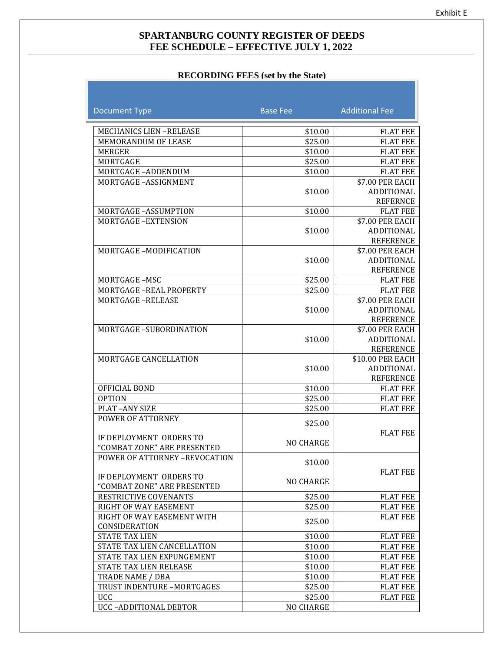## **SPARTANBURG COUNTY REGISTER OF DEEDS FEE SCHEDULE – EFFECTIVE JULY 1, 2022**

### **RECORDING FEES (set by the State)**

| <b>Document Type</b>                                   | <b>Base Fee</b>  | <b>Additional Fee</b>         |
|--------------------------------------------------------|------------------|-------------------------------|
|                                                        |                  |                               |
| <b>MECHANICS LIEN-RELEASE</b>                          | \$10.00          | <b>FLAT FEE</b>               |
| <b>MEMORANDUM OF LEASE</b>                             | \$25.00          | <b>FLAT FEE</b>               |
| MERGER                                                 | \$10.00          | <b>FLAT FEE</b>               |
| MORTGAGE                                               | \$25.00          | <b>FLAT FEE</b>               |
| MORTGAGE-ADDENDUM                                      | \$10.00          | <b>FLAT FEE</b>               |
| MORTGAGE-ASSIGNMENT                                    |                  | \$7.00 PER EACH               |
|                                                        | \$10.00          | ADDITIONAL                    |
|                                                        |                  | <b>REFERNCE</b>               |
| MORTGAGE-ASSUMPTION                                    | \$10.00          | <b>FLAT FEE</b>               |
| MORTGAGE-EXTENSION                                     |                  | \$7.00 PER EACH               |
|                                                        | \$10.00          | ADDITIONAL                    |
|                                                        |                  | <b>REFERENCE</b>              |
| MORTGAGE-MODIFICATION                                  | \$10.00          | \$7.00 PER EACH<br>ADDITIONAL |
|                                                        |                  | <b>REFERENCE</b>              |
| MORTGAGE-MSC                                           | \$25.00          | <b>FLAT FEE</b>               |
| <b>MORTGAGE -REAL PROPERTY</b>                         | \$25.00          | <b>FLAT FEE</b>               |
| <b>MORTGAGE-RELEASE</b>                                |                  | \$7.00 PER EACH               |
|                                                        | \$10.00          | ADDITIONAL                    |
|                                                        |                  | <b>REFERENCE</b>              |
| MORTGAGE-SUBORDINATION                                 |                  | \$7.00 PER EACH               |
|                                                        | \$10.00          | ADDITIONAL                    |
|                                                        |                  | <b>REFERENCE</b>              |
| MORTGAGE CANCELLATION                                  |                  | \$10.00 PER EACH              |
|                                                        | \$10.00          | ADDITIONAL                    |
|                                                        |                  | <b>REFERENCE</b>              |
| OFFICIAL BOND                                          | \$10.00          | <b>FLAT FEE</b>               |
| <b>OPTION</b>                                          | \$25.00          | <b>FLAT FEE</b>               |
| PLAT-ANY SIZE                                          | \$25.00          | <b>FLAT FEE</b>               |
| <b>POWER OF ATTORNEY</b>                               | \$25.00          |                               |
|                                                        |                  | <b>FLAT FEE</b>               |
| IF DEPLOYMENT ORDERS TO                                | <b>NO CHARGE</b> |                               |
| "COMBAT ZONE" ARE PRESENTED                            |                  |                               |
| POWER OF ATTORNEY -REVOCATION                          | \$10.00          |                               |
|                                                        |                  | <b>FLAT FEE</b>               |
| IF DEPLOYMENT ORDERS TO<br>"COMBAT ZONE" ARE PRESENTED | NO CHARGE        |                               |
| RESTRICTIVE COVENANTS                                  | \$25.00          | <b>FLAT FEE</b>               |
| RIGHT OF WAY EASEMENT                                  | \$25.00          | <b>FLAT FEE</b>               |
| RIGHT OF WAY EASEMENT WITH                             |                  | <b>FLAT FEE</b>               |
| CONSIDERATION                                          | \$25.00          |                               |
| <b>STATE TAX LIEN</b>                                  | \$10.00          | <b>FLAT FEE</b>               |
| STATE TAX LIEN CANCELLATION                            | \$10.00          | <b>FLAT FEE</b>               |
| STATE TAX LIEN EXPUNGEMENT                             | \$10.00          | <b>FLAT FEE</b>               |
| STATE TAX LIEN RELEASE                                 | \$10.00          | <b>FLAT FEE</b>               |
| TRADE NAME / DBA                                       | \$10.00          | <b>FLAT FEE</b>               |
| TRUST INDENTURE -MORTGAGES                             | \$25.00          | <b>FLAT FEE</b>               |
| <b>UCC</b>                                             | \$25.00          | <b>FLAT FEE</b>               |
| UCC-ADDITIONAL DEBTOR                                  | NO CHARGE        |                               |
|                                                        |                  |                               |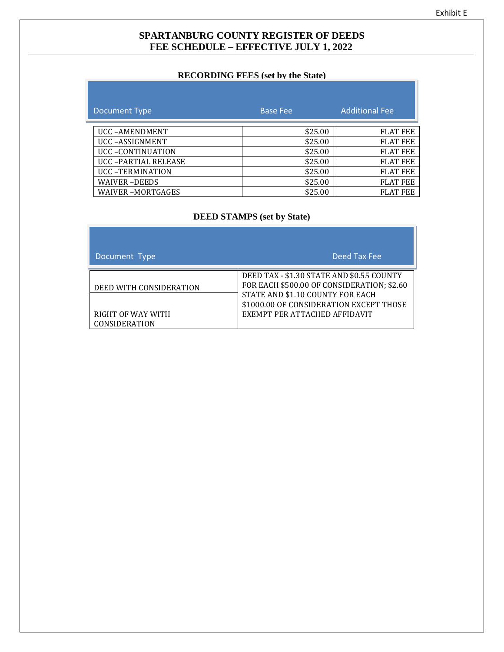## **SPARTANBURG COUNTY REGISTER OF DEEDS FEE SCHEDULE – EFFECTIVE JULY 1, 2022**

## **RECORDING FEES (set by the State)**

| Document Type           | <b>Base Fee</b> | <b>Additional Fee</b> |
|-------------------------|-----------------|-----------------------|
| <b>UCC-AMENDMENT</b>    | \$25.00         | <b>FLAT FEE</b>       |
| UCC-ASSIGNMENT          | \$25.00         | <b>FLAT FEE</b>       |
| UCC-CONTINUATION        | \$25.00         | <b>FLAT FEE</b>       |
| UCC-PARTIAL RELEASE     | \$25.00         | <b>FLAT FEE</b>       |
| <b>UCC-TERMINATION</b>  | \$25.00         | <b>FLAT FEE</b>       |
| <b>WAIVER-DEEDS</b>     | \$25.00         | <b>FLAT FEE</b>       |
| <b>WAIVER-MORTGAGES</b> | \$25.00         | <b>FLAT FEE</b>       |

# **DEED STAMPS (set by State)**

| Document Type                                                        | Deed Tax Fee                                                                                                                                                                                            |
|----------------------------------------------------------------------|---------------------------------------------------------------------------------------------------------------------------------------------------------------------------------------------------------|
| DEED WITH CONSIDERATION<br>RIGHT OF WAY WITH<br><b>CONSIDERATION</b> | DEED TAX - \$1.30 STATE AND \$0.55 COUNTY<br>FOR EACH \$500.00 OF CONSIDERATION; \$2.60<br>STATE AND \$1.10 COUNTY FOR EACH<br>\$1000.00 OF CONSIDERATION EXCEPT THOSE<br>EXEMPT PER ATTACHED AFFIDAVIT |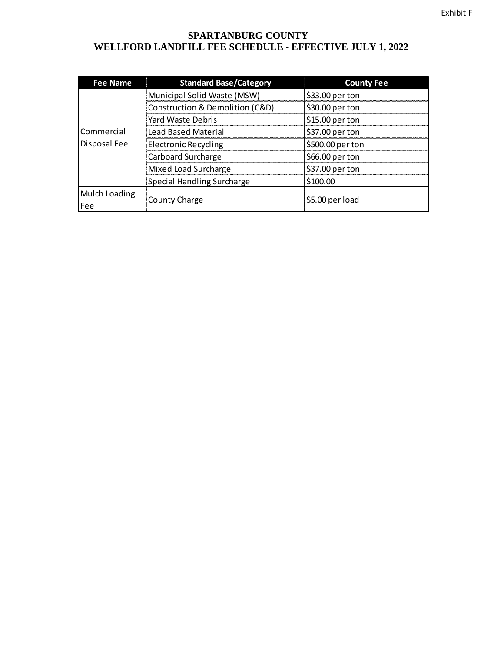## **SPARTANBURG COUNTY WELLFORD LANDFILL FEE SCHEDULE - EFFECTIVE JULY 1, 2022**

| <b>Fee Name</b> | <b>Standard Base/Category</b>     | <b>County Fee</b> |  |
|-----------------|-----------------------------------|-------------------|--|
|                 | Municipal Solid Waste (MSW)       | \$33.00 per ton   |  |
|                 | Construction & Demolition (C&D)   | \$30.00 per ton   |  |
|                 | Yard Waste Debris                 | \$15.00 per ton   |  |
| Commercial      | <b>Lead Based Material</b>        | \$37.00 per ton   |  |
| Disposal Fee    | <b>Electronic Recycling</b>       | \$500.00 per ton  |  |
|                 | Carboard Surcharge                | \$66.00 per ton   |  |
|                 | Mixed Load Surcharge              | \$37.00 per ton   |  |
|                 | <b>Special Handling Surcharge</b> | \$100.00          |  |
| Mulch Loading   |                                   | $$5.00$ per load  |  |
| Fee             | County Charge                     |                   |  |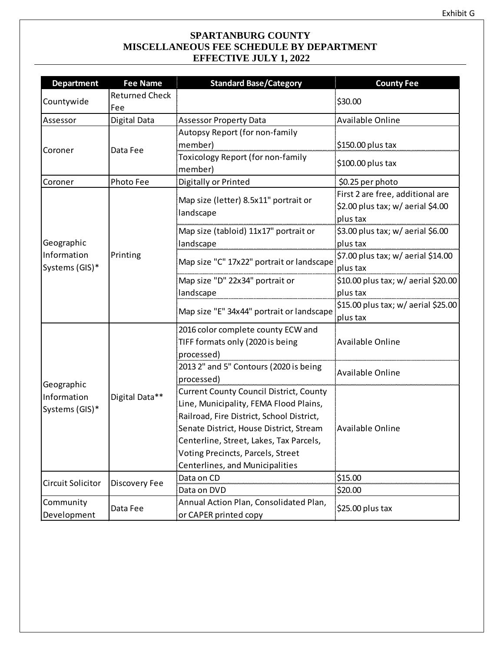## **SPARTANBURG COUNTY MISCELLANEOUS FEE SCHEDULE BY DEPARTMENT EFFECTIVE JULY 1, 2022**

| <b>Department</b>         | <b>Fee Name</b>       | <b>Standard Base/Category</b>                                   | <b>County Fee</b>                                                                 |
|---------------------------|-----------------------|-----------------------------------------------------------------|-----------------------------------------------------------------------------------|
|                           | <b>Returned Check</b> |                                                                 |                                                                                   |
| Countywide                | Fee                   |                                                                 | \$30.00                                                                           |
| Assessor                  | Digital Data          | <b>Assessor Property Data</b>                                   | Available Online                                                                  |
|                           |                       | Autopsy Report (for non-family                                  |                                                                                   |
| Coroner                   |                       | member)                                                         | $$150.00$ plus tax                                                                |
|                           | Data Fee              | Toxicology Report (for non-family<br>member)                    | \$100.00 plus tax                                                                 |
| Coroner                   | Photo Fee             | Digitally or Printed                                            | \$0.25 per photo                                                                  |
|                           |                       | Map size (letter) 8.5x11" portrait or<br>landscape              | First 2 are free, additional are<br>\$2.00 plus tax; w/ aerial \$4.00<br>plus tax |
|                           |                       | Map size (tabloid) 11x17" portrait or                           | \$3.00 plus tax; w/ aerial \$6.00                                                 |
| Geographic                |                       | landscape                                                       | plus tax                                                                          |
| Information               | Printing              | Map size "C" 17x22" portrait or landscape                       | \$7.00 plus tax; w/ aerial \$14.00                                                |
| Systems (GIS)*            |                       |                                                                 | plus tax                                                                          |
|                           |                       | Map size "D" 22x34" portrait or                                 | \$10.00 plus tax; w/ aerial \$20.00                                               |
|                           |                       | landscape                                                       | plus tax                                                                          |
|                           |                       | Map size "E" 34x44" portrait or landscape                       | \$15.00 plus tax; w/ aerial \$25.00<br>plus tax                                   |
|                           | Digital Data**        | 2016 color complete county ECW and                              |                                                                                   |
|                           |                       | TIFF formats only (2020 is being<br>processed)                  | <b>Available Online</b>                                                           |
|                           |                       | 2013 2" and 5" Contours (2020 is being                          |                                                                                   |
|                           |                       | processed)                                                      | Available Online                                                                  |
| Geographic<br>Information |                       | <b>Current County Council District, County</b>                  |                                                                                   |
| Systems (GIS)*            |                       | Line, Municipality, FEMA Flood Plains,                          |                                                                                   |
|                           |                       | Railroad, Fire District, School District,                       |                                                                                   |
|                           |                       | Senate District, House District, Stream                         | <b>Available Online</b>                                                           |
|                           |                       | Centerline, Street, Lakes, Tax Parcels,                         |                                                                                   |
|                           |                       | Voting Precincts, Parcels, Street                               |                                                                                   |
|                           |                       | Centerlines, and Municipalities                                 |                                                                                   |
| Circuit Solicitor         | Discovery Fee         | Data on CD                                                      | \$15.00                                                                           |
|                           |                       | Data on DVD                                                     | \$20.00                                                                           |
| Community<br>Development  | Data Fee              | Annual Action Plan, Consolidated Plan,<br>or CAPER printed copy | \$25.00 plus tax                                                                  |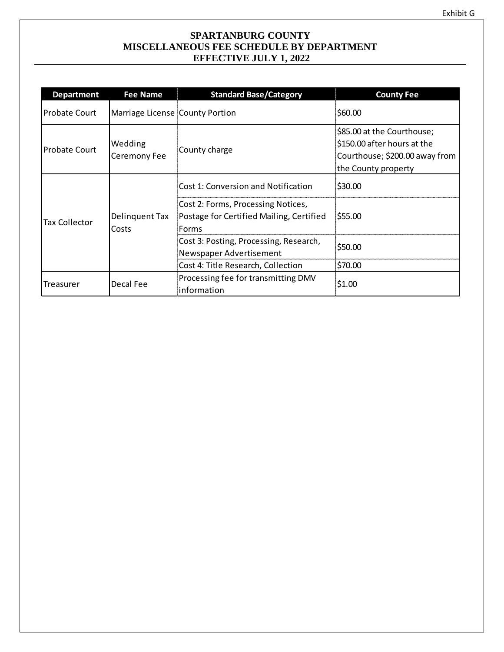## **SPARTANBURG COUNTY MISCELLANEOUS FEE SCHEDULE BY DEPARTMENT EFFECTIVE JULY 1, 2022**

| <b>Department</b>                               | Fee Name                        | <b>Standard Base/Category</b>                                                           | <b>County Fee</b>                                                                                                  |
|-------------------------------------------------|---------------------------------|-----------------------------------------------------------------------------------------|--------------------------------------------------------------------------------------------------------------------|
| <b>Probate Court</b>                            | Marriage License County Portion |                                                                                         | \$60.00                                                                                                            |
| <b>Probate Court</b>                            | Wedding<br>Ceremony Fee         | County charge                                                                           | \$85.00 at the Courthouse;<br>\$150.00 after hours at the<br>Courthouse; \$200.00 away from<br>the County property |
|                                                 |                                 | <b>Cost 1: Conversion and Notification</b>                                              | \$30.00                                                                                                            |
| Delinguent Tax<br><b>Tax Collector</b><br>Costs |                                 | Cost 2: Forms, Processing Notices,<br>Postage for Certified Mailing, Certified<br>Forms | \$55.00                                                                                                            |
|                                                 |                                 | Cost 3: Posting, Processing, Research,<br>Newspaper Advertisement                       | \$50.00                                                                                                            |
|                                                 |                                 | Cost 4: Title Research, Collection                                                      | \$70.00                                                                                                            |
| Treasurer                                       | Decal Fee                       | Processing fee for transmitting DMV<br>information                                      | \$1.00                                                                                                             |